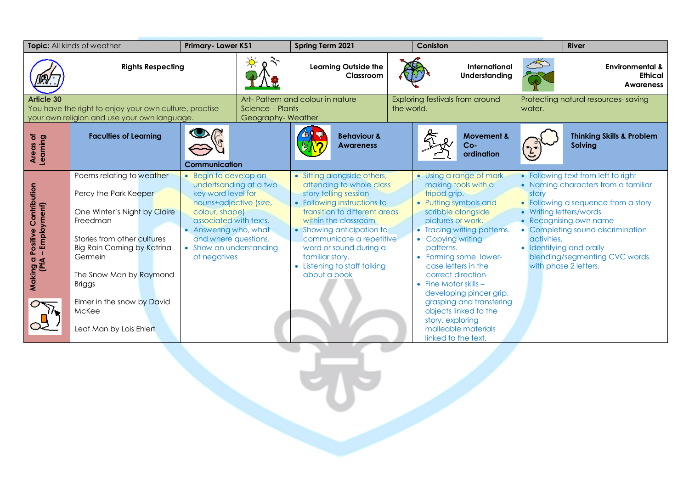| Topic: All kinds of weather                                                                                                 |                                                                                                                                                                                                                                                    | Primary-Lower KS1                                                                                                                                                                                                                       |                                                                           | Spring Term 2021                                                                                                                                                                                                                                                                                                               |  | Coniston                                                                                                                    |                                                                                                                                                                                                                                                              |                                               | <b>River</b>                                                                                                                                                                                                                                                                              |  |
|-----------------------------------------------------------------------------------------------------------------------------|----------------------------------------------------------------------------------------------------------------------------------------------------------------------------------------------------------------------------------------------------|-----------------------------------------------------------------------------------------------------------------------------------------------------------------------------------------------------------------------------------------|---------------------------------------------------------------------------|--------------------------------------------------------------------------------------------------------------------------------------------------------------------------------------------------------------------------------------------------------------------------------------------------------------------------------|--|-----------------------------------------------------------------------------------------------------------------------------|--------------------------------------------------------------------------------------------------------------------------------------------------------------------------------------------------------------------------------------------------------------|-----------------------------------------------|-------------------------------------------------------------------------------------------------------------------------------------------------------------------------------------------------------------------------------------------------------------------------------------------|--|
|                                                                                                                             | <b>Rights Respecting</b>                                                                                                                                                                                                                           |                                                                                                                                                                                                                                         |                                                                           | <b>Learning Outside the</b><br>Classroom                                                                                                                                                                                                                                                                                       |  |                                                                                                                             | International<br>Understanding                                                                                                                                                                                                                               |                                               | <b>Environmental &amp;</b><br><b>Ethical</b><br><b>Awareness</b>                                                                                                                                                                                                                          |  |
| <b>Article 30</b><br>You have the right to enjoy your own culture, practise<br>your own religion and use your own language. |                                                                                                                                                                                                                                                    |                                                                                                                                                                                                                                         | Art-Pattern and colour in nature<br>Science - Plants<br>Geography-Weather |                                                                                                                                                                                                                                                                                                                                |  | Exploring festivals from around<br>the world.                                                                               |                                                                                                                                                                                                                                                              | Protecting natural resources-saving<br>water. |                                                                                                                                                                                                                                                                                           |  |
| Areas of<br>Learning                                                                                                        | <b>Faculties of Learning</b>                                                                                                                                                                                                                       | <b>Communication</b>                                                                                                                                                                                                                    |                                                                           | <b>Behaviour &amp;</b><br><b>Awareness</b>                                                                                                                                                                                                                                                                                     |  |                                                                                                                             | <b>Movement &amp;</b><br>$Co-$<br>ordination                                                                                                                                                                                                                 |                                               | <b>Thinking Skills &amp; Problem</b><br><b>Solving</b>                                                                                                                                                                                                                                    |  |
| Contribution<br>-Employment)<br><b>Positive</b><br>Making a                                                                 | Poems relating to weather<br>Percy the Park Keeper<br>One Winter's Night by Claire<br>Freedman<br>Stories from other cultures<br>Big Rain Coming by Katrina<br>Germein<br>The Snow Man by Raymond<br>Briggs<br>Elmer in the snow by David<br>McKee | • Begin to develop an<br>undertsanding at a two<br>key word level for<br>nouns+adjective (size,<br>colour, shape)<br>associated with texts.<br>• Answering who, what<br>and where questions.<br>• Show an understanding<br>of negatives |                                                                           | • Sitting alongside others,<br>attending to whole class<br>story telling session<br>• Following instructions to<br>transition to different areas<br>within the classroom<br>• Showing anticipation to<br>communicate a repetitive<br>word or sound during a<br>familiar story.<br>• Listening to staff talking<br>about a book |  | tripod grip.<br>pictures or work.<br>• Copying writing<br>patterns.<br>correct direction<br>$\bullet$ Fine Motor skills $-$ | • Using a range of mark<br>making tools with a<br>• Putting symbols and<br>scribble alongside<br>• Tracing writing patterns.<br>• Forming some lower-<br>case letters in the<br>developing pincer grip,<br>grasping and transfering<br>objects linked to the | story<br>activities.                          | • Following text from left to right<br>• Naming characters from a familiar<br>Following a sequence from a story<br>Writing letters/words<br>Recognising own name<br>• Completing sound discrimination<br>Identifying and orally<br>blending/segmenting CVC words<br>with phase 2 letters. |  |
|                                                                                                                             | Leaf Man by Lois Ehlert                                                                                                                                                                                                                            |                                                                                                                                                                                                                                         |                                                                           |                                                                                                                                                                                                                                                                                                                                |  | story, exploring<br>linked to the text.                                                                                     | malleable materials                                                                                                                                                                                                                                          |                                               |                                                                                                                                                                                                                                                                                           |  |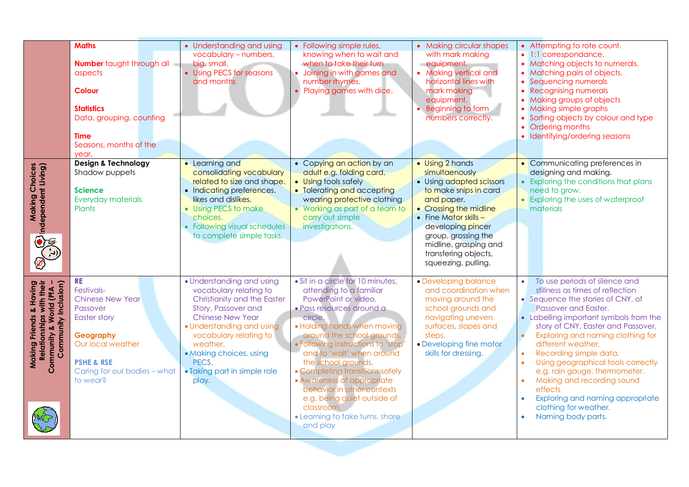|                                                                                                         | <b>Maths</b><br><b>Number</b> taught through all<br>aspects<br><b>Colour</b><br><b>Statistics</b><br>Data, grouping, counting<br><b>Time</b><br>Seasons, months of the<br>year,       | • Understanding and using<br>vocabulary - numbers,<br>big, small,<br>• Using PECS for seasons<br>and months                                                                                                                                                                          | • Following simple rules,<br>knowing when to wait and<br>when to take their turn<br>• Joining in with games and<br>number rhymes.<br>Playing games with dice.                                                                                                                                                                                                                                                                                                                 | • Making circular shapes<br>with mark making<br>equipment.<br>• Making vertical and<br>horizontal lines with<br>mark making<br>equipment.<br>• Beginning to form<br>numbers correctly.                                                                                      | • Attempting to rote count.<br>1:1 correspondance.<br>Matching objects to numerals.<br>• Matching pairs of objects.<br>Sequencing numerals<br><b>Recognising numerals</b><br>• Making groups of objects<br>• Making simple graphs<br>Sorting objects by colour and type<br>Ordering months<br>• Identifying/ordering seasons                                                                                                                                                                                                     |
|---------------------------------------------------------------------------------------------------------|---------------------------------------------------------------------------------------------------------------------------------------------------------------------------------------|--------------------------------------------------------------------------------------------------------------------------------------------------------------------------------------------------------------------------------------------------------------------------------------|-------------------------------------------------------------------------------------------------------------------------------------------------------------------------------------------------------------------------------------------------------------------------------------------------------------------------------------------------------------------------------------------------------------------------------------------------------------------------------|-----------------------------------------------------------------------------------------------------------------------------------------------------------------------------------------------------------------------------------------------------------------------------|----------------------------------------------------------------------------------------------------------------------------------------------------------------------------------------------------------------------------------------------------------------------------------------------------------------------------------------------------------------------------------------------------------------------------------------------------------------------------------------------------------------------------------|
| <b>Making Choices</b><br>Choices<br>22 Ion                                                              | <b>Design &amp; Technology</b><br>Shadow puppets<br><b>Science</b><br>Everyday materials<br>Plants                                                                                    | • Learning and<br>consolidating vocabulary<br>related to size and shape.<br>• Indicating preferences,<br>likes and dislikes.<br>• Using PECS to make<br>choices.<br>• Following visual schedules<br>to complete simple tasks.                                                        | • Copying an action by an<br>adult e.g. folding card,<br>• Using tools safely<br>• Tolerating and accepting<br>wearing protective clothing<br>• Working as part of a team to<br>carry out simple<br>investigations.                                                                                                                                                                                                                                                           | · Using 2 hands<br>simultaenously<br>• Using adapted scissors<br>to make snips in card<br>and paper.<br>• Crossing the midline<br>• Fine Motor skills -<br>developing pincer<br>group, grossing the<br>midline, grasping and<br>transfering objects,<br>squeezing, pulling. | • Communicating preferences in<br>designing and making.<br>Exploring the conditions that plans<br>need to grow.<br>• Exploring the uses of waterproof<br>materials                                                                                                                                                                                                                                                                                                                                                               |
| Making Friends & Having<br>Relationships with their<br>Community & World (PfA –<br>Community Inclusion) | <b>RE</b><br>Festivals-<br><b>Chinese New Year</b><br>Passover<br>Easter story<br>Geography<br>Our local weather<br><b>PSHE &amp; RSE</b><br>Caring for our bodies - what<br>to wear? | • Understanding and using<br>vocabulary relating to<br>Christianity and the Easter<br>Story, Passover and<br><b>Chinese New Year</b><br>• Understanding and using<br>vocabulary relating to<br>weather.<br>· Making choices, using<br>PECS.<br>• Taking part in simple role<br>play. | • Sit in a circle for 10 minutes,<br>attending to a familiar<br>PowerPoint or video.<br>· Pass resources around a<br>circle.<br>• Holding hands when moving<br>around the school grounds.<br>· Following instructions to 'stop<br>and to 'wait' when around<br>the school grounds.<br>• Completing transitions safely<br>• Awareness of appropriate<br>behavior in other contexts<br>e.g. being quiet outside of<br>classroom.<br>• Learning to take turns, share<br>and play | • Developing balance<br>and coordination when<br>moving around the<br>school grounds and<br>navigating uneven<br>surfaces, slopes and<br>steps.<br>• Developing fine motor<br>skills for dressing.                                                                          | To use periods of silence and<br>stillness as times of reflection<br>• Sequence the stories of CNY, of<br>Passover and Easter.<br>• Labelling important symbols from the<br>story of CNY, Easter and Passover.<br>Exploring and naming clothing for<br>different weather.<br>Recording simple data.<br>$\bullet$<br>Using geographical tools correctly<br>e.g. rain gauge, thermometer.<br>Making and recording sound<br>effects<br>Exploring and naming appropriate<br>clothing for weather.<br>Naming body parts.<br>$\bullet$ |